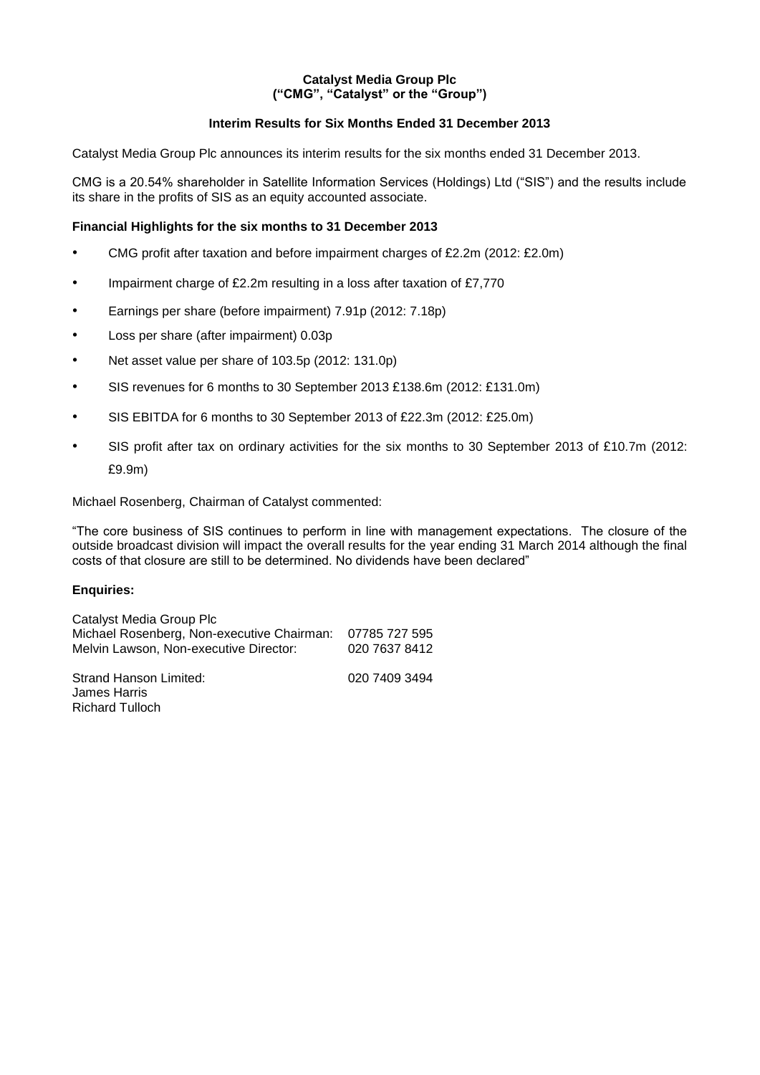## **Catalyst Media Group Plc ("CMG", "Catalyst" or the "Group")**

## **Interim Results for Six Months Ended 31 December 2013**

Catalyst Media Group Plc announces its interim results for the six months ended 31 December 2013.

CMG is a 20.54% shareholder in Satellite Information Services (Holdings) Ltd ("SIS") and the results include its share in the profits of SIS as an equity accounted associate.

## **Financial Highlights for the six months to 31 December 2013**

- CMG profit after taxation and before impairment charges of £2.2m (2012: £2.0m)
- Impairment charge of £2.2m resulting in a loss after taxation of £7,770
- Earnings per share (before impairment) 7.91p (2012: 7.18p)
- Loss per share (after impairment) 0.03p
- Net asset value per share of 103.5p (2012: 131.0p)
- SIS revenues for 6 months to 30 September 2013 £138.6m (2012: £131.0m)
- SIS EBITDA for 6 months to 30 September 2013 of £22.3m (2012: £25.0m)
- SIS profit after tax on ordinary activities for the six months to 30 September 2013 of £10.7m (2012: £9.9m)

#### Michael Rosenberg, Chairman of Catalyst commented:

"The core business of SIS continues to perform in line with management expectations. The closure of the outside broadcast division will impact the overall results for the year ending 31 March 2014 although the final costs of that closure are still to be determined. No dividends have been declared"

#### **Enquiries:**

| Catalyst Media Group Plc                                 |               |
|----------------------------------------------------------|---------------|
| Michael Rosenberg, Non-executive Chairman: 07785 727 595 |               |
| Melvin Lawson, Non-executive Director:                   | 020 7637 8412 |
| <b>Strand Hanson Limited:</b><br>James Harris            | 020 7409 3494 |
| <b>Richard Tulloch</b>                                   |               |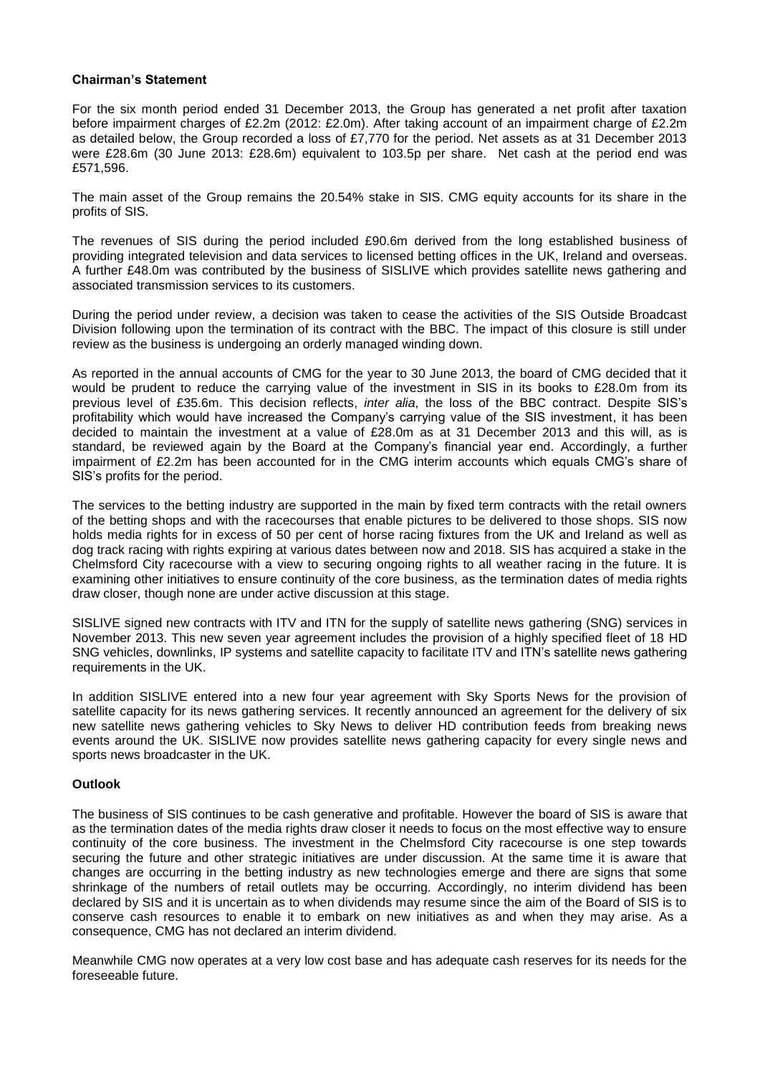### **Chairman's Statement**

For the six month period ended 31 December 2013, the Group has generated a net profit after taxation before impairment charges of £2.2m (2012: £2.0m). After taking account of an impairment charge of £2.2m as detailed below, the Group recorded a loss of £7,770 for the period. Net assets as at 31 December 2013 were £28.6m (30 June 2013: £28.6m) equivalent to 103.5p per share. Net cash at the period end was £571,596.

The main asset of the Group remains the 20.54% stake in SIS. CMG equity accounts for its share in the profits of SIS.

The revenues of SIS during the period included £90.6m derived from the long established business of providing integrated television and data services to licensed betting offices in the UK, Ireland and overseas. A further £48.0m was contributed by the business of SISLIVE which provides satellite news gathering and associated transmission services to its customers.

During the period under review, a decision was taken to cease the activities of the SIS Outside Broadcast Division following upon the termination of its contract with the BBC. The impact of this closure is still under review as the business is undergoing an orderly managed winding down.

As reported in the annual accounts of CMG for the year to 30 June 2013, the board of CMG decided that it would be prudent to reduce the carrying value of the investment in SIS in its books to £28.0m from its previous level of £35.6m. This decision reflects, *inter alia*, the loss of the BBC contract. Despite SIS's profitability which would have increased the Company's carrying value of the SIS investment, it has been decided to maintain the investment at a value of £28.0m as at 31 December 2013 and this will, as is standard, be reviewed again by the Board at the Company's financial year end. Accordingly, a further impairment of £2.2m has been accounted for in the CMG interim accounts which equals CMG's share of SIS's profits for the period.

The services to the betting industry are supported in the main by fixed term contracts with the retail owners of the betting shops and with the racecourses that enable pictures to be delivered to those shops. SIS now holds media rights for in excess of 50 per cent of horse racing fixtures from the UK and Ireland as well as dog track racing with rights expiring at various dates between now and 2018. SIS has acquired a stake in the Chelmsford City racecourse with a view to securing ongoing rights to all weather racing in the future. It is examining other initiatives to ensure continuity of the core business, as the termination dates of media rights draw closer, though none are under active discussion at this stage.

SISLIVE signed new contracts with ITV and ITN for the supply of satellite news gathering (SNG) services in November 2013. This new seven year agreement includes the provision of a highly specified fleet of 18 HD SNG vehicles, downlinks, IP systems and satellite capacity to facilitate ITV and ITN's satellite news gathering requirements in the UK.

In addition SISLIVE entered into a new four year agreement with Sky Sports News for the provision of satellite capacity for its news gathering services. It recently announced an agreement for the delivery of six new satellite news gathering vehicles to Sky News to deliver HD contribution feeds from breaking news events around the UK. SISLIVE now provides satellite news gathering capacity for every single news and sports news broadcaster in the UK.

#### **Outlook**

The business of SIS continues to be cash generative and profitable. However the board of SIS is aware that as the termination dates of the media rights draw closer it needs to focus on the most effective way to ensure continuity of the core business. The investment in the Chelmsford City racecourse is one step towards securing the future and other strategic initiatives are under discussion. At the same time it is aware that changes are occurring in the betting industry as new technologies emerge and there are signs that some shrinkage of the numbers of retail outlets may be occurring. Accordingly, no interim dividend has been declared by SIS and it is uncertain as to when dividends may resume since the aim of the Board of SIS is to conserve cash resources to enable it to embark on new initiatives as and when they may arise. As a consequence, CMG has not declared an interim dividend.

Meanwhile CMG now operates at a very low cost base and has adequate cash reserves for its needs for the foreseeable future.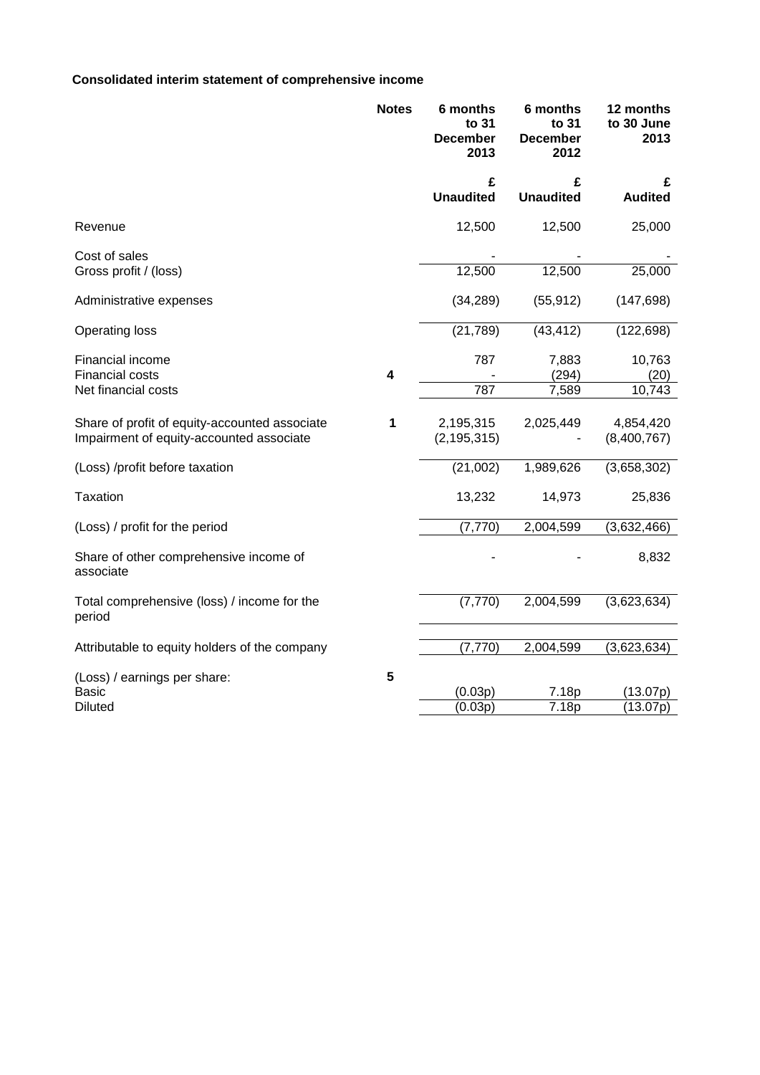# **Consolidated interim statement of comprehensive income**

|                                                                                           | <b>Notes</b> | 6 months<br>to 31<br><b>December</b><br>2013 | 6 months<br>to 31<br><b>December</b><br>2012 | 12 months<br>to 30 June<br>2013 |
|-------------------------------------------------------------------------------------------|--------------|----------------------------------------------|----------------------------------------------|---------------------------------|
|                                                                                           |              | £<br><b>Unaudited</b>                        | £<br><b>Unaudited</b>                        | £<br><b>Audited</b>             |
| Revenue                                                                                   |              | 12,500                                       | 12,500                                       | 25,000                          |
| Cost of sales<br>Gross profit / (loss)                                                    |              | 12,500                                       | 12,500                                       | 25,000                          |
| Administrative expenses                                                                   |              | (34, 289)                                    | (55, 912)                                    | (147, 698)                      |
| <b>Operating loss</b>                                                                     |              | (21, 789)                                    | (43, 412)                                    | (122, 698)                      |
| Financial income<br><b>Financial costs</b>                                                | 4            | 787                                          | 7,883<br>(294)                               | 10,763<br>(20)                  |
| Net financial costs                                                                       |              | 787                                          | 7,589                                        | 10,743                          |
| Share of profit of equity-accounted associate<br>Impairment of equity-accounted associate | 1            | 2,195,315<br>(2, 195, 315)                   | 2,025,449                                    | 4,854,420<br>(8,400,767)        |
| (Loss) /profit before taxation                                                            |              | (21,002)                                     | 1,989,626                                    | (3,658,302)                     |
| <b>Taxation</b>                                                                           |              | 13,232                                       | 14,973                                       | 25,836                          |
| (Loss) / profit for the period                                                            |              | (7, 770)                                     | 2,004,599                                    | (3,632,466)                     |
| Share of other comprehensive income of<br>associate                                       |              |                                              |                                              | 8,832                           |
| Total comprehensive (loss) / income for the<br>period                                     |              | (7, 770)                                     | 2,004,599                                    | (3,623,634)                     |
| Attributable to equity holders of the company                                             |              | (7, 770)                                     | 2,004,599                                    | (3,623,634)                     |
| (Loss) / earnings per share:                                                              | 5            |                                              |                                              |                                 |
| Basic                                                                                     |              | (0.03p)                                      | 7.18p                                        | (13.07p)                        |
| <b>Diluted</b>                                                                            |              | (0.03p)                                      | 7.18p                                        | (13.07p)                        |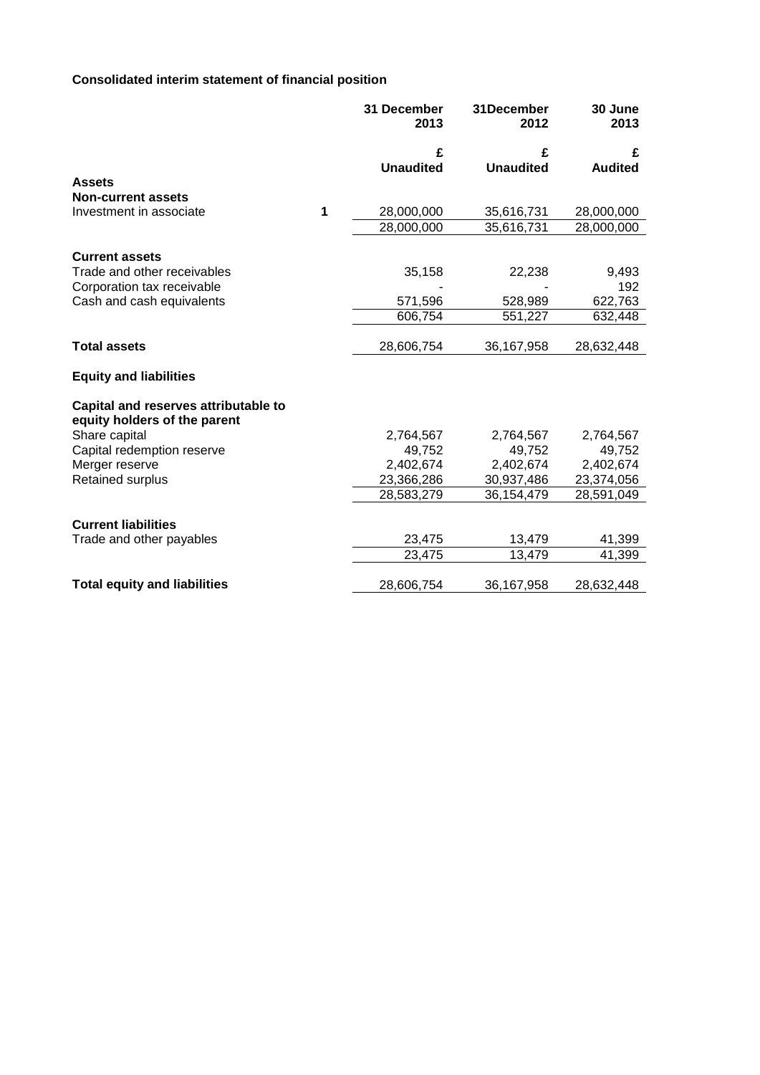# **Consolidated interim statement of financial position**

|                                                                      |   | 31 December<br>2013 | 31December<br>2012 | 30 June<br>2013 |
|----------------------------------------------------------------------|---|---------------------|--------------------|-----------------|
|                                                                      |   | £                   | £                  | £               |
|                                                                      |   | <b>Unaudited</b>    | <b>Unaudited</b>   | <b>Audited</b>  |
| <b>Assets</b>                                                        |   |                     |                    |                 |
| <b>Non-current assets</b>                                            |   |                     |                    |                 |
| Investment in associate                                              | 1 | 28,000,000          | 35,616,731         | 28,000,000      |
|                                                                      |   | 28,000,000          | 35,616,731         | 28,000,000      |
| <b>Current assets</b>                                                |   |                     |                    |                 |
| Trade and other receivables                                          |   | 35,158              | 22,238             | 9,493           |
| Corporation tax receivable                                           |   |                     |                    | 192             |
| Cash and cash equivalents                                            |   | 571,596             | 528,989            | 622,763         |
|                                                                      |   | 606,754             | 551,227            | 632,448         |
|                                                                      |   |                     |                    |                 |
| <b>Total assets</b>                                                  |   | 28,606,754          | 36,167,958         | 28,632,448      |
| <b>Equity and liabilities</b>                                        |   |                     |                    |                 |
| Capital and reserves attributable to<br>equity holders of the parent |   |                     |                    |                 |
| Share capital                                                        |   | 2,764,567           | 2,764,567          | 2,764,567       |
| Capital redemption reserve                                           |   | 49,752              | 49,752             | 49,752          |
| Merger reserve                                                       |   | 2,402,674           | 2,402,674          | 2,402,674       |
| <b>Retained surplus</b>                                              |   | 23,366,286          | 30,937,486         | 23,374,056      |
|                                                                      |   | 28,583,279          | 36,154,479         | 28,591,049      |
| <b>Current liabilities</b>                                           |   |                     |                    |                 |
| Trade and other payables                                             |   | 23,475              | 13,479             | 41,399          |
|                                                                      |   | 23,475              | 13,479             | 41,399          |
|                                                                      |   |                     |                    |                 |
| <b>Total equity and liabilities</b>                                  |   | 28,606,754          | 36,167,958         | 28,632,448      |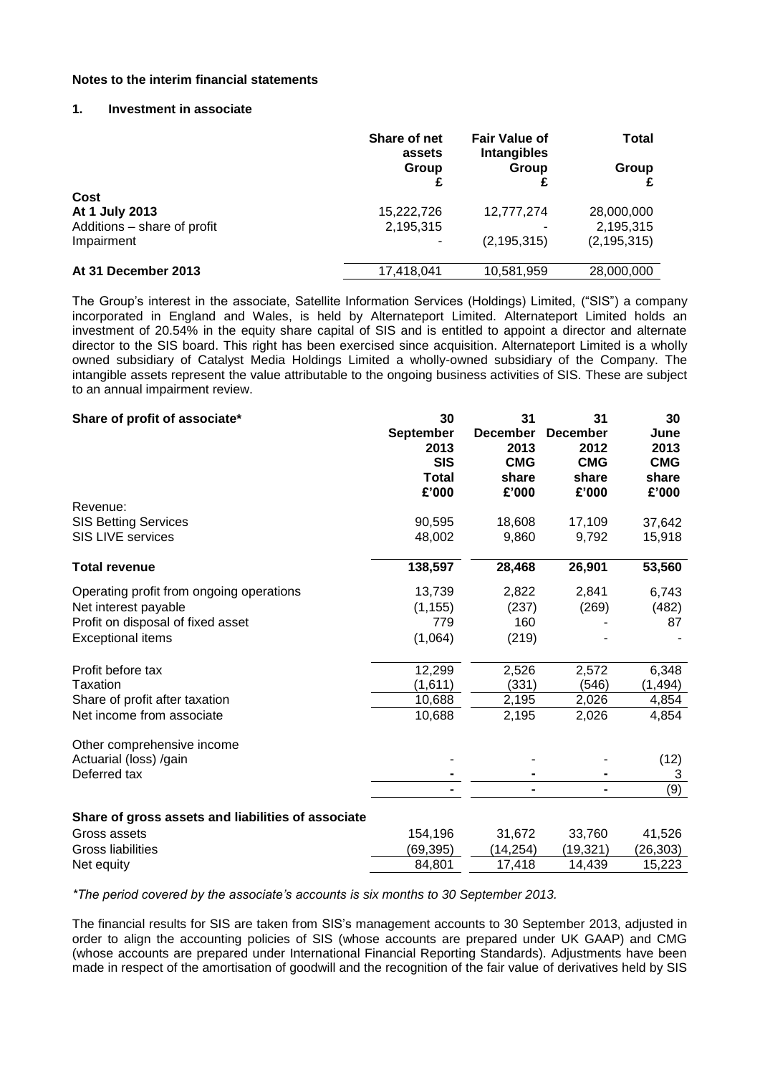#### **Notes to the interim financial statements**

## **1. Investment in associate**

|                             | Share of net<br>assets | <b>Fair Value of</b><br><b>Intangibles</b> | Total         |  |
|-----------------------------|------------------------|--------------------------------------------|---------------|--|
|                             | Group<br>Group         | Group                                      |               |  |
| Cost                        |                        |                                            |               |  |
| At 1 July 2013              | 15,222,726             | 12,777,274                                 | 28,000,000    |  |
| Additions - share of profit | 2,195,315              |                                            | 2,195,315     |  |
| Impairment                  |                        | (2, 195, 315)                              | (2, 195, 315) |  |
| At 31 December 2013         | 17,418,041             | 10,581,959                                 | 28,000,000    |  |

The Group's interest in the associate, Satellite Information Services (Holdings) Limited, ("SIS") a company incorporated in England and Wales, is held by Alternateport Limited. Alternateport Limited holds an investment of 20.54% in the equity share capital of SIS and is entitled to appoint a director and alternate director to the SIS board. This right has been exercised since acquisition. Alternateport Limited is a wholly owned subsidiary of Catalyst Media Holdings Limited a wholly-owned subsidiary of the Company. The intangible assets represent the value attributable to the ongoing business activities of SIS. These are subject to an annual impairment review.

| Share of profit of associate*                      | 30               | 31              | 31              | 30         |
|----------------------------------------------------|------------------|-----------------|-----------------|------------|
|                                                    | <b>September</b> | <b>December</b> | <b>December</b> | June       |
|                                                    | 2013             | 2013            | 2012            | 2013       |
|                                                    | <b>SIS</b>       | <b>CMG</b>      | <b>CMG</b>      | <b>CMG</b> |
|                                                    | <b>Total</b>     | share           | share           | share      |
|                                                    | £'000            | £'000           | £'000           | £'000      |
| Revenue:                                           |                  |                 |                 |            |
| <b>SIS Betting Services</b>                        | 90,595           | 18,608          | 17,109          | 37,642     |
| <b>SIS LIVE services</b>                           | 48,002           | 9,860           | 9,792           | 15,918     |
| <b>Total revenue</b>                               | 138,597          | 28,468          | 26,901          | 53,560     |
| Operating profit from ongoing operations           | 13,739           | 2,822           | 2,841           | 6,743      |
| Net interest payable                               | (1, 155)         | (237)           | (269)           | (482)      |
| Profit on disposal of fixed asset                  | 779              | 160             |                 | 87         |
| <b>Exceptional items</b>                           | (1,064)          | (219)           |                 |            |
| Profit before tax                                  | 12,299           | 2,526           | 2,572           | 6,348      |
| Taxation                                           | (1,611)          | (331)           | (546)           | (1, 494)   |
| Share of profit after taxation                     | 10,688           | 2,195           | 2,026           | 4,854      |
| Net income from associate                          | 10,688           | 2,195           | 2,026           | 4,854      |
| Other comprehensive income                         |                  |                 |                 |            |
| Actuarial (loss) /gain                             |                  |                 |                 | (12)       |
| Deferred tax                                       |                  |                 |                 | 3          |
|                                                    |                  |                 |                 | (9)        |
| Share of gross assets and liabilities of associate |                  |                 |                 |            |
| Gross assets                                       | 154,196          | 31,672          | 33,760          | 41,526     |
| Gross liabilities                                  | (69, 395)        | (14, 254)       | (19, 321)       | (26, 303)  |
| Net equity                                         | 84,801           | 17,418          | 14,439          | 15,223     |

*\*The period covered by the associate's accounts is six months to 30 September 2013.*

The financial results for SIS are taken from SIS's management accounts to 30 September 2013, adjusted in order to align the accounting policies of SIS (whose accounts are prepared under UK GAAP) and CMG (whose accounts are prepared under International Financial Reporting Standards). Adjustments have been made in respect of the amortisation of goodwill and the recognition of the fair value of derivatives held by SIS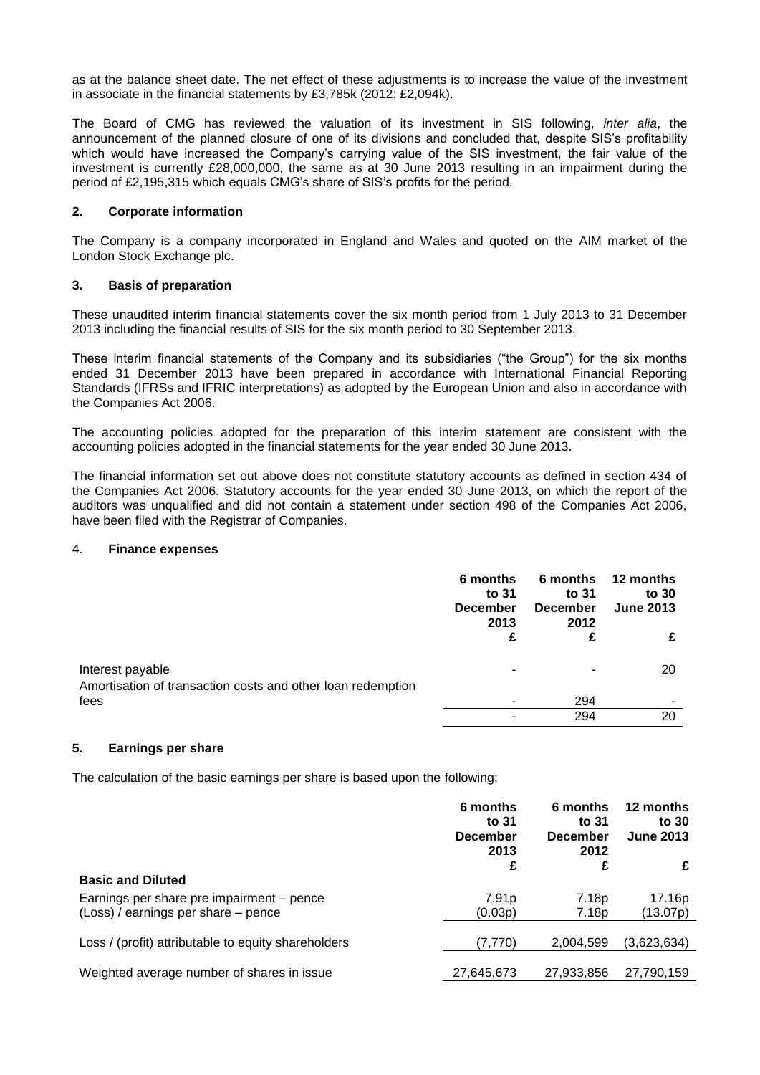as at the balance sheet date. The net effect of these adjustments is to increase the value of the investment in associate in the financial statements by £3,785k (2012: £2,094k).

The Board of CMG has reviewed the valuation of its investment in SIS following, *inter alia*, the announcement of the planned closure of one of its divisions and concluded that, despite SIS's profitability which would have increased the Company's carrying value of the SIS investment, the fair value of the investment is currently £28,000,000, the same as at 30 June 2013 resulting in an impairment during the period of £2,195,315 which equals CMG's share of SIS's profits for the period.

## **2. Corporate information**

The Company is a company incorporated in England and Wales and quoted on the AIM market of the London Stock Exchange plc.

### **3. Basis of preparation**

These unaudited interim financial statements cover the six month period from 1 July 2013 to 31 December 2013 including the financial results of SIS for the six month period to 30 September 2013.

These interim financial statements of the Company and its subsidiaries ("the Group") for the six months ended 31 December 2013 have been prepared in accordance with International Financial Reporting Standards (IFRSs and IFRIC interpretations) as adopted by the European Union and also in accordance with the Companies Act 2006.

The accounting policies adopted for the preparation of this interim statement are consistent with the accounting policies adopted in the financial statements for the year ended 30 June 2013.

The financial information set out above does not constitute statutory accounts as defined in section 434 of the Companies Act 2006. Statutory accounts for the year ended 30 June 2013, on which the report of the auditors was unqualified and did not contain a statement under section 498 of the Companies Act 2006, have been filed with the Registrar of Companies.

#### 4. **Finance expenses**

|                                                                                 | 6 months<br>to 31<br><b>December</b><br>2013 | 6 months<br>to 31<br><b>December</b><br>2012 | 12 months<br>to 30<br><b>June 2013</b> |
|---------------------------------------------------------------------------------|----------------------------------------------|----------------------------------------------|----------------------------------------|
|                                                                                 | £                                            | £                                            |                                        |
| Interest payable<br>Amortisation of transaction costs and other loan redemption |                                              | ۰                                            | 20                                     |
| fees                                                                            |                                              | 294                                          |                                        |
|                                                                                 |                                              | 294                                          | 20                                     |

## **5. Earnings per share**

The calculation of the basic earnings per share is based upon the following:

|                                                                                  | 6 months<br>to 31<br><b>December</b><br>2013 | 6 months<br>to 31<br><b>December</b><br>2012 | 12 months<br>to 30<br><b>June 2013</b> |
|----------------------------------------------------------------------------------|----------------------------------------------|----------------------------------------------|----------------------------------------|
| <b>Basic and Diluted</b>                                                         | £                                            | £                                            | £                                      |
| Earnings per share pre impairment – pence<br>(Loss) / earnings per share – pence | 7.91 <sub>p</sub><br>(0.03p)                 | 7.18p<br>7.18p                               | 17.16p<br>(13.07p)                     |
| Loss / (profit) attributable to equity shareholders                              | (7,770)                                      | 2,004,599                                    | (3,623,634)                            |
| Weighted average number of shares in issue                                       | 27,645,673                                   | 27,933,856                                   | 27,790,159                             |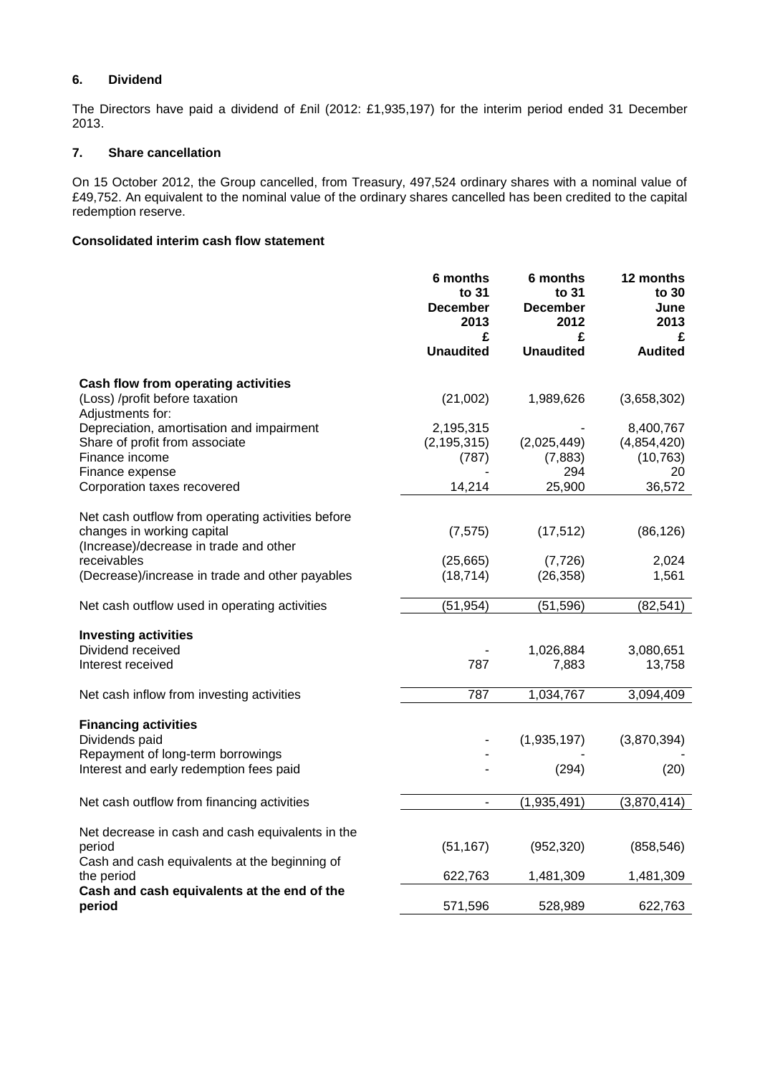# **6. Dividend**

The Directors have paid a dividend of £nil (2012: £1,935,197) for the interim period ended 31 December 2013.

## **7. Share cancellation**

On 15 October 2012, the Group cancelled, from Treasury, 497,524 ordinary shares with a nominal value of £49,752. An equivalent to the nominal value of the ordinary shares cancelled has been credited to the capital redemption reserve.

## **Consolidated interim cash flow statement**

|                                                                                                                                                                                             | 6 months<br>to 31<br><b>December</b><br>2013  | 6 months<br>to 31<br><b>December</b><br>2012 | 12 months<br>to 30<br>June<br>2013                    |
|---------------------------------------------------------------------------------------------------------------------------------------------------------------------------------------------|-----------------------------------------------|----------------------------------------------|-------------------------------------------------------|
|                                                                                                                                                                                             | £<br><b>Unaudited</b>                         | £<br><b>Unaudited</b>                        | £<br><b>Audited</b>                                   |
| Cash flow from operating activities<br>(Loss) /profit before taxation                                                                                                                       | (21,002)                                      | 1,989,626                                    | (3,658,302)                                           |
| Adjustments for:<br>Depreciation, amortisation and impairment<br>Share of profit from associate<br>Finance income<br>Finance expense<br>Corporation taxes recovered                         | 2,195,315<br>(2, 195, 315)<br>(787)<br>14,214 | (2,025,449)<br>(7,883)<br>294<br>25,900      | 8,400,767<br>(4,854,420)<br>(10, 763)<br>20<br>36,572 |
| Net cash outflow from operating activities before<br>changes in working capital<br>(Increase)/decrease in trade and other<br>receivables<br>(Decrease)/increase in trade and other payables | (7, 575)<br>(25,665)<br>(18, 714)             | (17, 512)<br>(7, 726)<br>(26, 358)           | (86, 126)<br>2,024<br>1,561                           |
| Net cash outflow used in operating activities                                                                                                                                               | (51, 954)                                     | (51, 596)                                    | (82, 541)                                             |
| <b>Investing activities</b><br>Dividend received<br>Interest received                                                                                                                       | 787                                           | 1,026,884<br>7,883                           | 3,080,651<br>13,758                                   |
| Net cash inflow from investing activities                                                                                                                                                   | 787                                           | 1,034,767                                    | 3,094,409                                             |
| <b>Financing activities</b><br>Dividends paid<br>Repayment of long-term borrowings<br>Interest and early redemption fees paid                                                               |                                               | (1,935,197)<br>(294)                         | (3,870,394)<br>(20)                                   |
| Net cash outflow from financing activities                                                                                                                                                  |                                               | (1,935,491)                                  | (3,870,414)                                           |
| Net decrease in cash and cash equivalents in the<br>period<br>Cash and cash equivalents at the beginning of                                                                                 | (51, 167)                                     | (952, 320)                                   | (858, 546)                                            |
| the period<br>Cash and cash equivalents at the end of the                                                                                                                                   | 622,763                                       | 1,481,309                                    | 1,481,309                                             |
| period                                                                                                                                                                                      | 571,596                                       | 528,989                                      | 622,763                                               |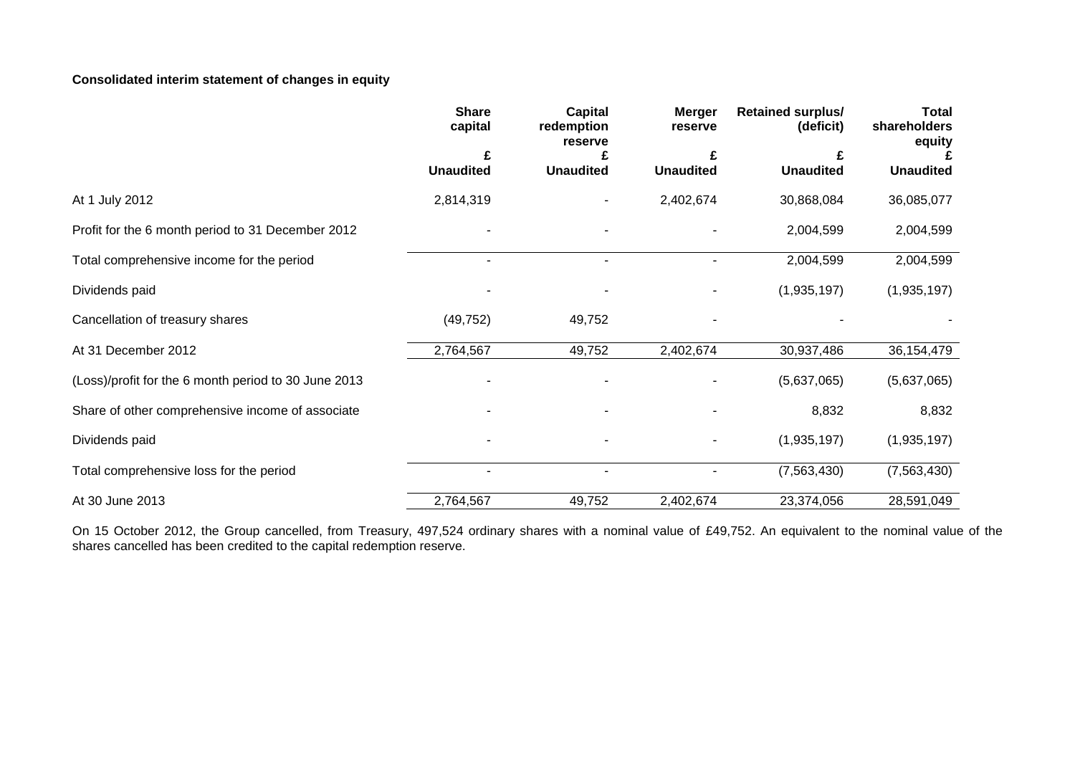# **Consolidated interim statement of changes in equity**

|                                                      | <b>Share</b><br>capital  | <b>Capital</b><br>redemption<br>reserve | <b>Merger</b><br>reserve | <b>Retained surplus/</b><br>(deficit) | <b>Total</b><br>shareholders<br>equity |
|------------------------------------------------------|--------------------------|-----------------------------------------|--------------------------|---------------------------------------|----------------------------------------|
|                                                      | £<br><b>Unaudited</b>    | <b>Unaudited</b>                        | <b>Unaudited</b>         | <b>Unaudited</b>                      | <b>Unaudited</b>                       |
| At 1 July 2012                                       | 2,814,319                |                                         | 2,402,674                | 30,868,084                            | 36,085,077                             |
| Profit for the 6 month period to 31 December 2012    |                          |                                         |                          | 2,004,599                             | 2,004,599                              |
| Total comprehensive income for the period            | $\overline{\phantom{a}}$ |                                         | ۰                        | 2,004,599                             | 2,004,599                              |
| Dividends paid                                       |                          |                                         |                          | (1,935,197)                           | (1,935,197)                            |
| Cancellation of treasury shares                      | (49, 752)                | 49,752                                  |                          |                                       |                                        |
| At 31 December 2012                                  | 2,764,567                | 49,752                                  | 2,402,674                | 30,937,486                            | 36,154,479                             |
| (Loss)/profit for the 6 month period to 30 June 2013 |                          |                                         |                          | (5,637,065)                           | (5,637,065)                            |
| Share of other comprehensive income of associate     |                          |                                         |                          | 8,832                                 | 8,832                                  |
| Dividends paid                                       |                          |                                         |                          | (1,935,197)                           | (1,935,197)                            |
| Total comprehensive loss for the period              | $\blacksquare$           | $\blacksquare$                          | ۰                        | (7,563,430)                           | (7,563,430)                            |
| At 30 June 2013                                      | 2,764,567                | 49,752                                  | 2,402,674                | 23,374,056                            | 28,591,049                             |

On 15 October 2012, the Group cancelled, from Treasury, 497,524 ordinary shares with a nominal value of £49,752. An equivalent to the nominal value of the shares cancelled has been credited to the capital redemption reserve.